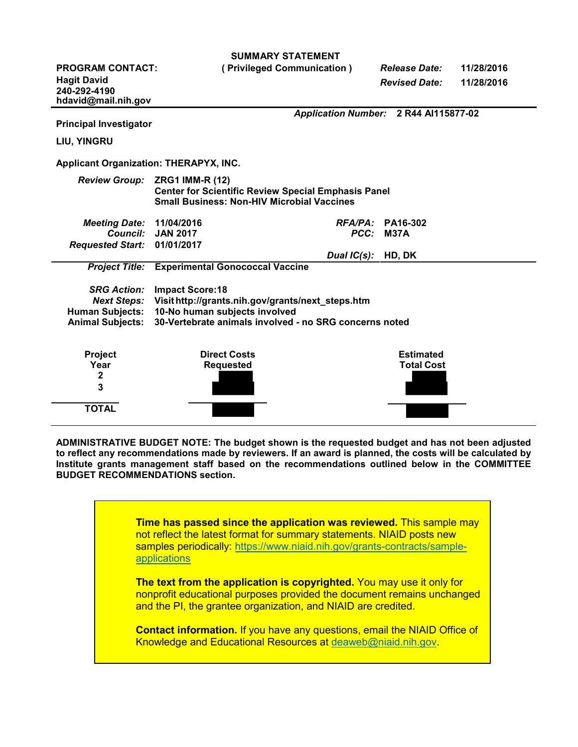| <b>SUMMARY STATEMENT</b>                                                          |                                                                                      |             |                                       |            |
|-----------------------------------------------------------------------------------|--------------------------------------------------------------------------------------|-------------|---------------------------------------|------------|
| <b>PROGRAM CONTACT:</b>                                                           | (Privileged Communication)                                                           |             | <b>Release Date:</b>                  | 11/28/2016 |
| <b>Hagit David</b>                                                                |                                                                                      |             | <b>Revised Date:</b>                  | 11/28/2016 |
| 240-292-4190                                                                      |                                                                                      |             |                                       |            |
| hdavid@mail.nih.gov                                                               |                                                                                      |             |                                       |            |
|                                                                                   |                                                                                      |             | Application Number: 2 R44 Al115877-02 |            |
| <b>Principal Investigator</b>                                                     |                                                                                      |             |                                       |            |
| <b>LIU, YINGRU</b>                                                                |                                                                                      |             |                                       |            |
| <b>Applicant Organization: THERAPYX, INC.</b>                                     |                                                                                      |             |                                       |            |
|                                                                                   |                                                                                      |             |                                       |            |
| <b>Review Group:</b>                                                              | <b>ZRG1 IMM-R (12)</b><br><b>Center for Scientific Review Special Emphasis Panel</b> |             |                                       |            |
|                                                                                   | <b>Small Business: Non-HIV Microbial Vaccines</b>                                    |             |                                       |            |
|                                                                                   |                                                                                      |             |                                       |            |
| <b>Meeting Date:</b>                                                              | 11/04/2016                                                                           | RFA/PA:     | PA16-302                              |            |
|                                                                                   | Council: JAN 2017                                                                    | PCC:        | <b>M37A</b>                           |            |
| <b>Requested Start:</b>                                                           | 01/01/2017                                                                           |             |                                       |            |
|                                                                                   |                                                                                      | Dual IC(s): | HD, DK                                |            |
| <b>Project Title:</b>                                                             | <b>Experimental Gonococcal Vaccine</b>                                               |             |                                       |            |
|                                                                                   |                                                                                      |             |                                       |            |
| <b>SRG Action:</b>                                                                | <b>Impact Score:18</b>                                                               |             |                                       |            |
| <b>Next Steps:</b>                                                                | Visit http://grants.nih.gov/grants/next_steps.htm                                    |             |                                       |            |
| <b>Human Subjects:</b>                                                            | 10-No human subjects involved                                                        |             |                                       |            |
| 30-Vertebrate animals involved - no SRG concerns noted<br><b>Animal Subjects:</b> |                                                                                      |             |                                       |            |
|                                                                                   |                                                                                      |             |                                       |            |
| <b>Project</b>                                                                    | <b>Direct Costs</b>                                                                  |             | <b>Estimated</b>                      |            |
| Year                                                                              | <b>Requested</b>                                                                     |             | <b>Total Cost</b>                     |            |
| $\mathbf 2$                                                                       |                                                                                      |             |                                       |            |
| 3                                                                                 |                                                                                      |             |                                       |            |
|                                                                                   |                                                                                      |             |                                       |            |
| <b>TOTAL</b>                                                                      |                                                                                      |             |                                       |            |

**ADMINISTRATIVE BUDGET NOTE: The budget shown is the requested budget and has not been adjusted to reflect any recommendations made by reviewers. If an award is planned, the costs will be calculated by Institute grants management staff based on the recommendations outlined below in the COMMITTEE BUDGET RECOMMENDATIONS section.**

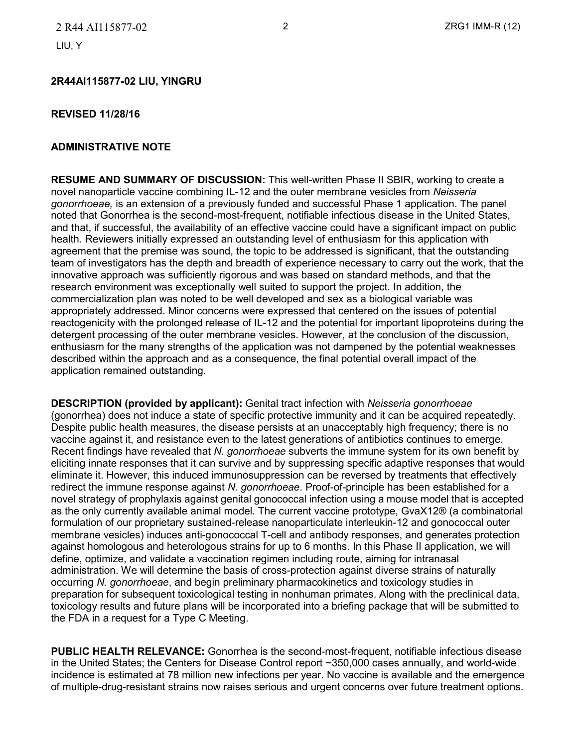#### **2R44AI115877-02 LIU, YINGRU**

#### **REVISED 11/28/16**

#### **ADMINISTRATIVE NOTE**

**RESUME AND SUMMARY OF DISCUSSION:** This well-written Phase II SBIR, working to create a novel nanoparticle vaccine combining IL-12 and the outer membrane vesicles from *Neisseria gonorrhoeae,* is an extension of a previously funded and successful Phase 1 application. The panel noted that Gonorrhea is the second-most-frequent, notifiable infectious disease in the United States, and that, if successful, the availability of an effective vaccine could have a significant impact on public health. Reviewers initially expressed an outstanding level of enthusiasm for this application with agreement that the premise was sound, the topic to be addressed is significant, that the outstanding team of investigators has the depth and breadth of experience necessary to carry out the work, that the innovative approach was sufficiently rigorous and was based on standard methods, and that the research environment was exceptionally well suited to support the project. In addition, the commercialization plan was noted to be well developed and sex as a biological variable was appropriately addressed. Minor concerns were expressed that centered on the issues of potential reactogenicity with the prolonged release of IL-12 and the potential for important lipoproteins during the detergent processing of the outer membrane vesicles. However, at the conclusion of the discussion, enthusiasm for the many strengths of the application was not dampened by the potential weaknesses described within the approach and as a consequence, the final potential overall impact of the application remained outstanding.

**DESCRIPTION (provided by applicant):** Genital tract infection with *Neisseria gonorrhoeae*  (gonorrhea) does not induce a state of specific protective immunity and it can be acquired repeatedly. Despite public health measures, the disease persists at an unacceptably high frequency; there is no vaccine against it, and resistance even to the latest generations of antibiotics continues to emerge. Recent findings have revealed that *N. gonorrhoeae* subverts the immune system for its own benefit by eliciting innate responses that it can survive and by suppressing specific adaptive responses that would eliminate it. However, this induced immunosuppression can be reversed by treatments that effectively redirect the immune response against *N. gonorrhoeae*. Proof-of-principle has been established for a novel strategy of prophylaxis against genital gonococcal infection using a mouse model that is accepted as the only currently available animal model. The current vaccine prototype, GvaX12® (a combinatorial formulation of our proprietary sustained-release nanoparticulate interleukin-12 and gonococcal outer membrane vesicles) induces anti-gonococcal T-cell and antibody responses, and generates protection against homologous and heterologous strains for up to 6 months. In this Phase II application, we will define, optimize, and validate a vaccination regimen including route, aiming for intranasal administration. We will determine the basis of cross-protection against diverse strains of naturally occurring *N. gonorrhoeae*, and begin preliminary pharmacokinetics and toxicology studies in preparation for subsequent toxicological testing in nonhuman primates. Along with the preclinical data, toxicology results and future plans will be incorporated into a briefing package that will be submitted to the FDA in a request for a Type C Meeting.

**PUBLIC HEALTH RELEVANCE:** Gonorrhea is the second-most-frequent, notifiable infectious disease in the United States; the Centers for Disease Control report ~350,000 cases annually, and world-wide incidence is estimated at 78 million new infections per year. No vaccine is available and the emergence of multiple-drug-resistant strains now raises serious and urgent concerns over future treatment options.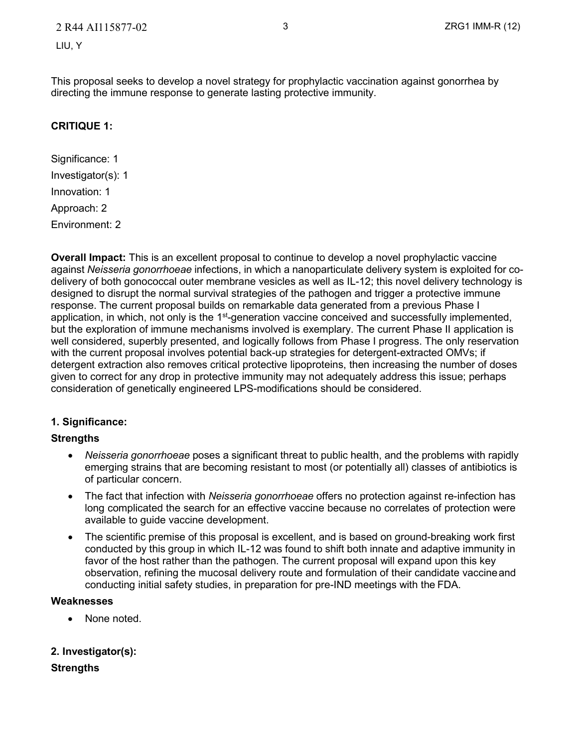This proposal seeks to develop a novel strategy for prophylactic vaccination against gonorrhea by directing the immune response to generate lasting protective immunity.

# **CRITIQUE 1:**

Significance: 1 Investigator(s): 1 Innovation: 1 Approach: 2 Environment: 2

**Overall Impact:** This is an excellent proposal to continue to develop a novel prophylactic vaccine against *Neisseria gonorrhoeae* infections, in which a nanoparticulate delivery system is exploited for codelivery of both gonococcal outer membrane vesicles as well as IL-12; this novel delivery technology is designed to disrupt the normal survival strategies of the pathogen and trigger a protective immune response. The current proposal builds on remarkable data generated from a previous Phase I application, in which, not only is the 1<sup>st</sup>-generation vaccine conceived and successfully implemented, but the exploration of immune mechanisms involved is exemplary. The current Phase II application is well considered, superbly presented, and logically follows from Phase I progress. The only reservation with the current proposal involves potential back-up strategies for detergent-extracted OMVs; if detergent extraction also removes critical protective lipoproteins, then increasing the number of doses given to correct for any drop in protective immunity may not adequately address this issue; perhaps consideration of genetically engineered LPS-modifications should be considered.

# **1. Significance:**

#### **Strengths**

- *Neisseria gonorrhoeae* poses a significant threat to public health, and the problems with rapidly emerging strains that are becoming resistant to most (or potentially all) classes of antibiotics is of particular concern.
- The fact that infection with *Neisseria gonorrhoeae* offers no protection against re-infection has long complicated the search for an effective vaccine because no correlates of protection were available to guide vaccine development.
- The scientific premise of this proposal is excellent, and is based on ground-breaking work first conducted by this group in which IL-12 was found to shift both innate and adaptive immunity in favor of the host rather than the pathogen. The current proposal will expand upon this key observation, refining the mucosal delivery route and formulation of their candidate vaccineand conducting initial safety studies, in preparation for pre-IND meetings with the FDA.

#### **Weaknesses**

• None noted.

# **2. Investigator(s):**

#### **Strengths**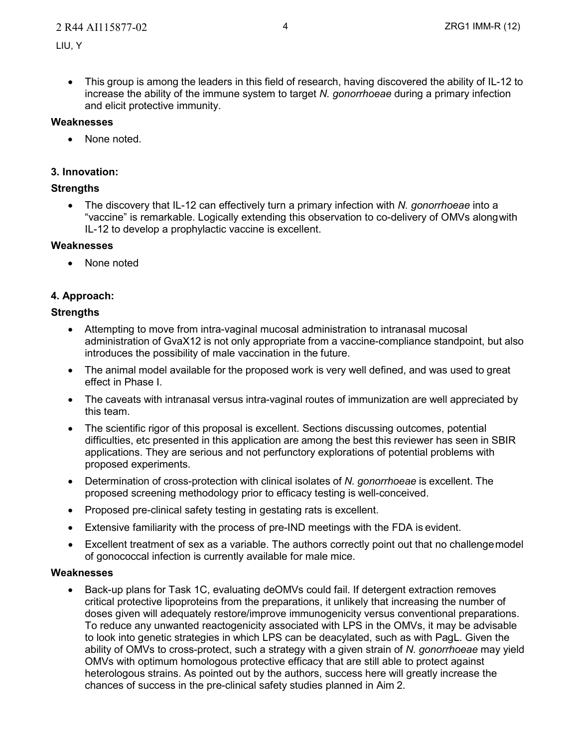• This group is among the leaders in this field of research, having discovered the ability of IL-12 to increase the ability of the immune system to target *N. gonorrhoeae* during a primary infection and elicit protective immunity.

#### **Weaknesses**

• None noted.

#### **3. Innovation:**

# **Strengths**

• The discovery that IL-12 can effectively turn a primary infection with *N. gonorrhoeae* into a "vaccine" is remarkable. Logically extending this observation to co-delivery of OMVs alongwith IL-12 to develop a prophylactic vaccine is excellent.

#### **Weaknesses**

• None noted

# **4. Approach:**

#### **Strengths**

- Attempting to move from intra-vaginal mucosal administration to intranasal mucosal administration of GvaX12 is not only appropriate from a vaccine-compliance standpoint, but also introduces the possibility of male vaccination in the future.
- The animal model available for the proposed work is very well defined, and was used to great effect in Phase I.
- The caveats with intranasal versus intra-vaginal routes of immunization are well appreciated by this team.
- The scientific rigor of this proposal is excellent. Sections discussing outcomes, potential difficulties, etc presented in this application are among the best this reviewer has seen in SBIR applications. They are serious and not perfunctory explorations of potential problems with proposed experiments.
- Determination of cross-protection with clinical isolates of *N. gonorrhoeae* is excellent. The proposed screening methodology prior to efficacy testing is well-conceived.
- Proposed pre-clinical safety testing in gestating rats is excellent.
- Extensive familiarity with the process of pre-IND meetings with the FDA is evident.
- Excellent treatment of sex as a variable. The authors correctly point out that no challengemodel of gonococcal infection is currently available for male mice.

#### **Weaknesses**

• Back-up plans for Task 1C, evaluating deOMVs could fail. If detergent extraction removes critical protective lipoproteins from the preparations, it unlikely that increasing the number of doses given will adequately restore/improve immunogenicity versus conventional preparations. To reduce any unwanted reactogenicity associated with LPS in the OMVs, it may be advisable to look into genetic strategies in which LPS can be deacylated, such as with PagL. Given the ability of OMVs to cross-protect, such a strategy with a given strain of *N. gonorrhoeae* may yield OMVs with optimum homologous protective efficacy that are still able to protect against heterologous strains. As pointed out by the authors, success here will greatly increase the chances of success in the pre-clinical safety studies planned in Aim 2.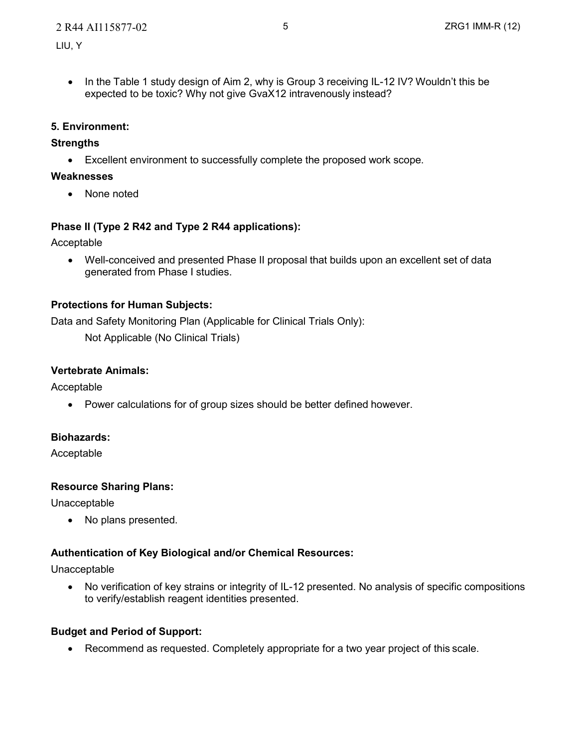#### 2 R44 AI115877-02 5 ZRG1 IMM-R (12)

• In the Table 1 study design of Aim 2, why is Group 3 receiving IL-12 IV? Wouldn't this be expected to be toxic? Why not give GvaX12 intravenously instead?

#### **5. Environment:**

#### **Strengths**

• Excellent environment to successfully complete the proposed work scope.

#### **Weaknesses**

• None noted

# **Phase II (Type 2 R42 and Type 2 R44 applications):**

Acceptable

• Well-conceived and presented Phase II proposal that builds upon an excellent set of data generated from Phase I studies.

# **Protections for Human Subjects:**

Data and Safety Monitoring Plan (Applicable for Clinical Trials Only):

Not Applicable (No Clinical Trials)

# **Vertebrate Animals:**

Acceptable

• Power calculations for of group sizes should be better defined however.

#### **Biohazards:**

Acceptable

#### **Resource Sharing Plans:**

Unacceptable

• No plans presented.

# **Authentication of Key Biological and/or Chemical Resources:**

Unacceptable

• No verification of key strains or integrity of IL-12 presented. No analysis of specific compositions to verify/establish reagent identities presented.

#### **Budget and Period of Support:**

• Recommend as requested. Completely appropriate for a two year project of this scale.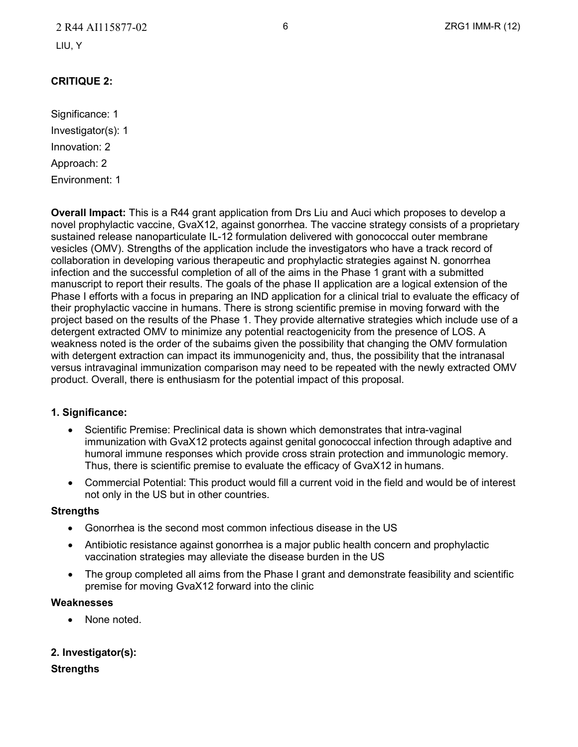# 2 R44 AI115877-02 6 ZRG1 IMM-R (12)

LIU, Y

# **CRITIQUE 2:**

Significance: 1 Investigator(s): 1 Innovation: 2 Approach: 2 Environment: 1

**Overall Impact:** This is a R44 grant application from Drs Liu and Auci which proposes to develop a novel prophylactic vaccine, GvaX12, against gonorrhea. The vaccine strategy consists of a proprietary sustained release nanoparticulate IL-12 formulation delivered with gonococcal outer membrane vesicles (OMV). Strengths of the application include the investigators who have a track record of collaboration in developing various therapeutic and prophylactic strategies against N. gonorrhea infection and the successful completion of all of the aims in the Phase 1 grant with a submitted manuscript to report their results. The goals of the phase II application are a logical extension of the Phase I efforts with a focus in preparing an IND application for a clinical trial to evaluate the efficacy of their prophylactic vaccine in humans. There is strong scientific premise in moving forward with the project based on the results of the Phase 1. They provide alternative strategies which include use of a detergent extracted OMV to minimize any potential reactogenicity from the presence of LOS. A weakness noted is the order of the subaims given the possibility that changing the OMV formulation with detergent extraction can impact its immunogenicity and, thus, the possibility that the intranasal versus intravaginal immunization comparison may need to be repeated with the newly extracted OMV product. Overall, there is enthusiasm for the potential impact of this proposal.

#### **1. Significance:**

- Scientific Premise: Preclinical data is shown which demonstrates that intra-vaginal immunization with GvaX12 protects against genital gonococcal infection through adaptive and humoral immune responses which provide cross strain protection and immunologic memory. Thus, there is scientific premise to evaluate the efficacy of GvaX12 in humans.
- Commercial Potential: This product would fill a current void in the field and would be of interest not only in the US but in other countries.

#### **Strengths**

- Gonorrhea is the second most common infectious disease in the US
- Antibiotic resistance against gonorrhea is a major public health concern and prophylactic vaccination strategies may alleviate the disease burden in the US
- The group completed all aims from the Phase I grant and demonstrate feasibility and scientific premise for moving GvaX12 forward into the clinic

#### **Weaknesses**

None noted.

#### **2. Investigator(s):**

#### **Strengths**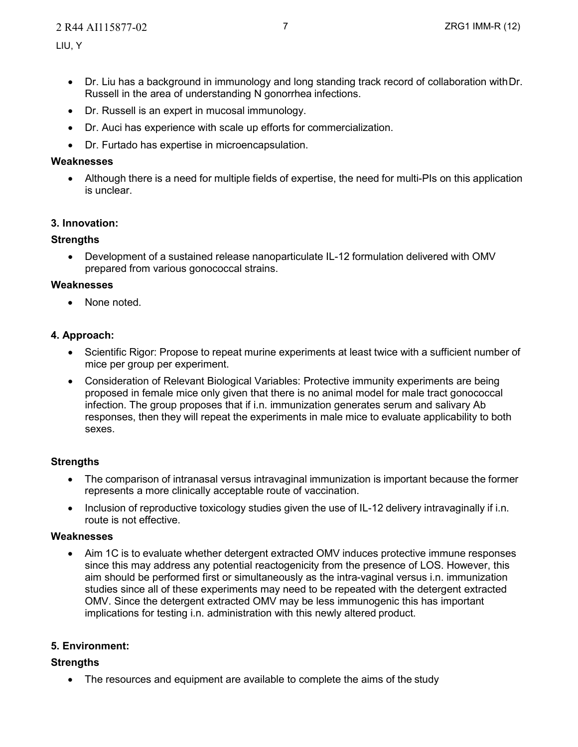- Dr. Liu has a background in immunology and long standing track record of collaboration withDr. Russell in the area of understanding N gonorrhea infections.
- Dr. Russell is an expert in mucosal immunology.
- Dr. Auci has experience with scale up efforts for commercialization.
- Dr. Furtado has expertise in microencapsulation.

#### **Weaknesses**

• Although there is a need for multiple fields of expertise, the need for multi-PIs on this application is unclear.

# **3. Innovation:**

#### **Strengths**

• Development of a sustained release nanoparticulate IL-12 formulation delivered with OMV prepared from various gonococcal strains.

#### **Weaknesses**

• None noted.

# **4. Approach:**

- Scientific Rigor: Propose to repeat murine experiments at least twice with a sufficient number of mice per group per experiment.
- Consideration of Relevant Biological Variables: Protective immunity experiments are being proposed in female mice only given that there is no animal model for male tract gonococcal infection. The group proposes that if i.n. immunization generates serum and salivary Ab responses, then they will repeat the experiments in male mice to evaluate applicability to both sexes.

# **Strengths**

- The comparison of intranasal versus intravaginal immunization is important because the former represents a more clinically acceptable route of vaccination.
- Inclusion of reproductive toxicology studies given the use of IL-12 delivery intravaginally if i.n. route is not effective.

#### **Weaknesses**

• Aim 1C is to evaluate whether detergent extracted OMV induces protective immune responses since this may address any potential reactogenicity from the presence of LOS. However, this aim should be performed first or simultaneously as the intra-vaginal versus i.n. immunization studies since all of these experiments may need to be repeated with the detergent extracted OMV. Since the detergent extracted OMV may be less immunogenic this has important implications for testing i.n. administration with this newly altered product.

# **5. Environment:**

#### **Strengths**

• The resources and equipment are available to complete the aims of the study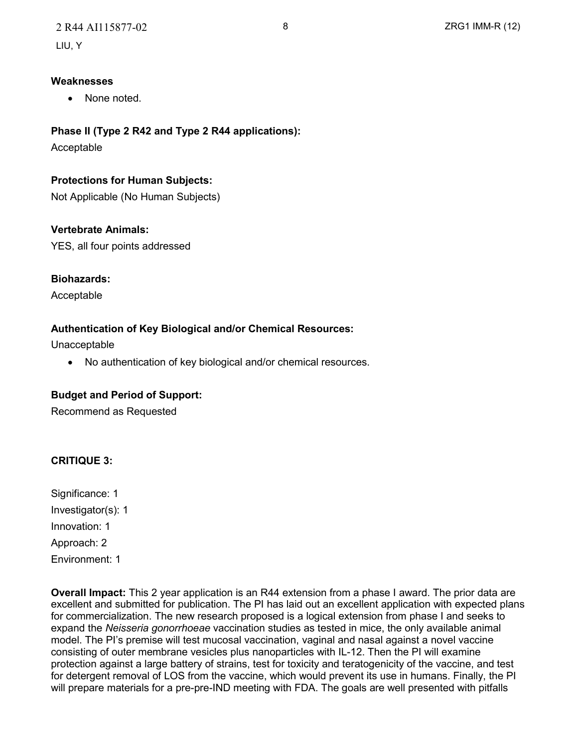#### **Weaknesses**

• None noted.

# **Phase II (Type 2 R42 and Type 2 R44 applications):**

Acceptable

# **Protections for Human Subjects:**

Not Applicable (No Human Subjects)

# **Vertebrate Animals:**

YES, all four points addressed

# **Biohazards:**

Acceptable

# **Authentication of Key Biological and/or Chemical Resources:**

Unacceptable

• No authentication of key biological and/or chemical resources.

#### **Budget and Period of Support:**

Recommend as Requested

# **CRITIQUE 3:**

Significance: 1 Investigator(s): 1 Innovation: 1 Approach: 2 Environment: 1

**Overall Impact:** This 2 year application is an R44 extension from a phase I award. The prior data are excellent and submitted for publication. The PI has laid out an excellent application with expected plans for commercialization. The new research proposed is a logical extension from phase I and seeks to expand the *Neisseria gonorrhoeae* vaccination studies as tested in mice, the only available animal model. The PI's premise will test mucosal vaccination, vaginal and nasal against a novel vaccine consisting of outer membrane vesicles plus nanoparticles with IL-12. Then the PI will examine protection against a large battery of strains, test for toxicity and teratogenicity of the vaccine, and test for detergent removal of LOS from the vaccine, which would prevent its use in humans. Finally, the PI will prepare materials for a pre-pre-IND meeting with FDA. The goals are well presented with pitfalls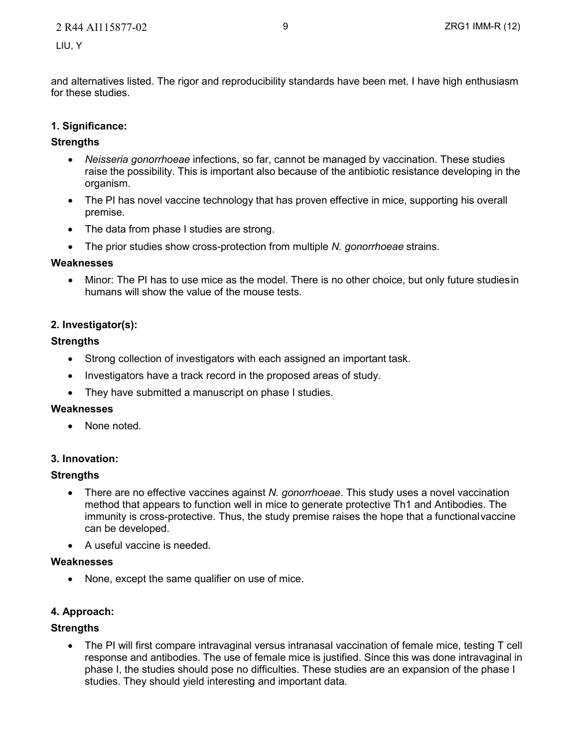and alternatives listed. The rigor and reproducibility standards have been met. I have high enthusiasm for these studies.

#### **1. Significance:**

#### **Strengths**

- *Neisseria gonorrhoeae* infections, so far, cannot be managed by vaccination. These studies raise the possibility. This is important also because of the antibiotic resistance developing in the organism.
- The PI has novel vaccine technology that has proven effective in mice, supporting his overall premise.
- The data from phase I studies are strong.
- The prior studies show cross-protection from multiple *N. gonorrhoeae* strains.

#### **Weaknesses**

• Minor: The PI has to use mice as the model. There is no other choice, but only future studiesin humans will show the value of the mouse tests.

# **2. Investigator(s):**

#### **Strengths**

- Strong collection of investigators with each assigned an important task.
- Investigators have a track record in the proposed areas of study.
- They have submitted a manuscript on phase I studies.

#### **Weaknesses**

None noted.

#### **3. Innovation:**

#### **Strengths**

- There are no effective vaccines against *N. gonorrhoeae*. This study uses a novel vaccination method that appears to function well in mice to generate protective Th1 and Antibodies. The immunity is cross-protective. Thus, the study premise raises the hope that a functionalvaccine can be developed.
- A useful vaccine is needed.

#### **Weaknesses**

• None, except the same qualifier on use of mice.

#### **4. Approach:**

#### **Strengths**

The PI will first compare intravaginal versus intranasal vaccination of female mice, testing T cell response and antibodies. The use of female mice is justified. Since this was done intravaginal in phase I, the studies should pose no difficulties. These studies are an expansion of the phase I studies. They should yield interesting and important data.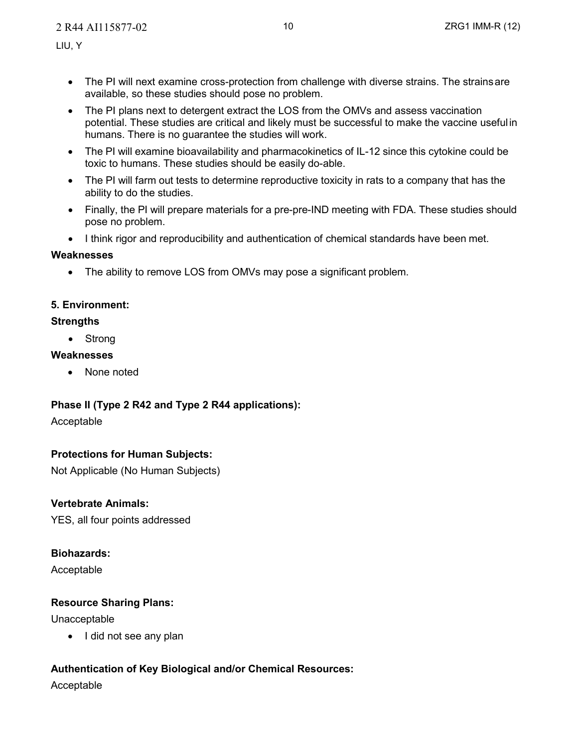- The PI will next examine cross-protection from challenge with diverse strains. The strainsare available, so these studies should pose no problem.
- The PI plans next to detergent extract the LOS from the OMVs and assess vaccination potential. These studies are critical and likely must be successful to make the vaccine useful in humans. There is no guarantee the studies will work.
- The PI will examine bioavailability and pharmacokinetics of IL-12 since this cytokine could be toxic to humans. These studies should be easily do-able.
- The PI will farm out tests to determine reproductive toxicity in rats to a company that has the ability to do the studies.
- Finally, the PI will prepare materials for a pre-pre-IND meeting with FDA. These studies should pose no problem.
- I think rigor and reproducibility and authentication of chemical standards have been met.

# **Weaknesses**

The ability to remove LOS from OMVs may pose a significant problem.

# **5. Environment:**

# **Strengths**

• Strong

# **Weaknesses**

• None noted

# **Phase II (Type 2 R42 and Type 2 R44 applications):**

Acceptable

# **Protections for Human Subjects:**

Not Applicable (No Human Subjects)

# **Vertebrate Animals:**

YES, all four points addressed

# **Biohazards:**

Acceptable

# **Resource Sharing Plans:**

Unacceptable

• I did not see any plan

# **Authentication of Key Biological and/or Chemical Resources:**

Acceptable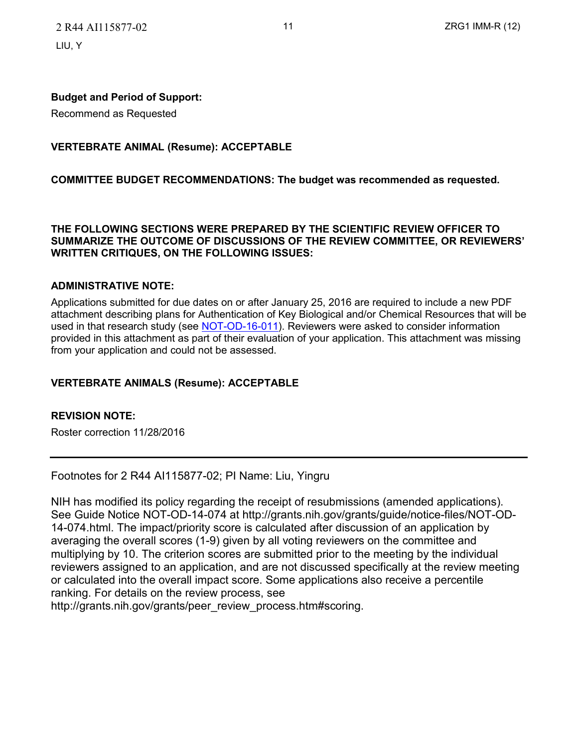2 R44 AI115877-02 11 12 11 2RG1 IMM-R (12) LIU, Y

#### **Budget and Period of Support:**

Recommend as Requested

#### **VERTEBRATE ANIMAL (Resume): ACCEPTABLE**

#### **COMMITTEE BUDGET RECOMMENDATIONS: The budget was recommended as requested.**

#### **THE FOLLOWING SECTIONS WERE PREPARED BY THE SCIENTIFIC REVIEW OFFICER TO SUMMARIZE THE OUTCOME OF DISCUSSIONS OF THE REVIEW COMMITTEE, OR REVIEWERS' WRITTEN CRITIQUES, ON THE FOLLOWING ISSUES:**

#### **ADMINISTRATIVE NOTE:**

Applications submitted for due dates on or after January 25, 2016 are required to include a new PDF attachment describing plans for Authentication of Key Biological and/or Chemical Resources that will be used in that research study (see [NOT-OD-16-011\)](http://grants.nih.gov/grants/guide/notice-files/NOT-OD-16-011.html). Reviewers were asked to consider information provided in this attachment as part of their evaluation of your application. This attachment was missing from your application and could not be assessed.

#### **VERTEBRATE ANIMALS (Resume): ACCEPTABLE**

#### **REVISION NOTE:**

Roster correction 11/28/2016

Footnotes for 2 R44 AI115877-02; PI Name: Liu, Yingru

NIH has modified its policy regarding the receipt of resubmissions (amended applications). See Guide Notice NOT-OD-14-074 at [http://grants.nih.gov/grants/guide/notice-files/NOT-OD-](http://grants.nih.gov/grants/guide/notice-files/NOT-OD)14-074.html. The impact/priority score is calculated after discussion of an application by averaging the overall scores (1-9) given by all voting reviewers on the committee and multiplying by 10. The criterion scores are submitted prior to the meeting by the individual reviewers assigned to an application, and are not discussed specifically at the review meeting or calculated into the overall impact score. Some applications also receive a percentile ranking. For details on the review process, see

[http://grants.nih.gov/grants/peer\\_review\\_process.htm#scoring.](http://grants.nih.gov/grants/peer_review_process.htm#scoring)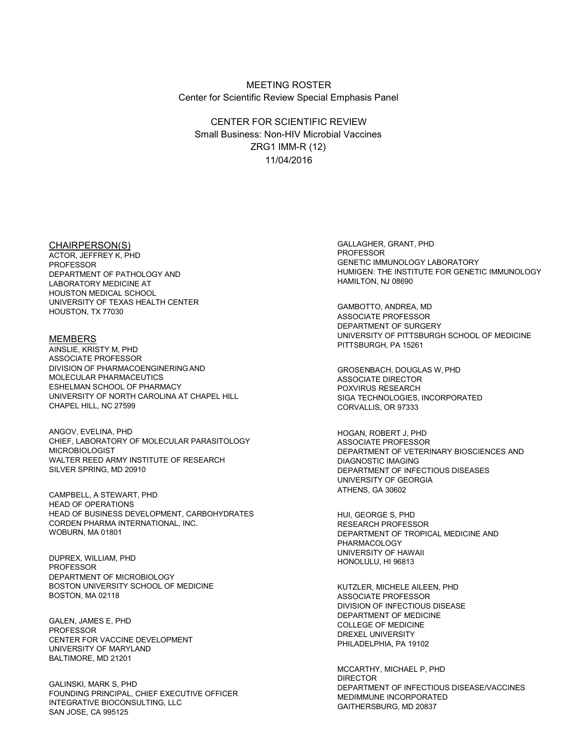#### MEETING ROSTER Center for Scientific Review Special Emphasis Panel

CENTER FOR SCIENTIFIC REVIEW Small Business: Non-HIV Microbial Vaccines ZRG1 IMM-R (12) 11/04/2016

ACTOR, JEFFREY K, PHD PROFESSOR ARD THE MANUSCRIPT OF THE MANUSCRIPT OF THE GENETIC IMMUNOLOGY LABORATORY<br>DEPARTMENT OF PATHOLOGY AND THE MANUSCRIPT OF THE INSTITUTE FOR GENET LABORATORY MEDICINE AT HOUSTON MEDICAL SCHOOL UNIVERSITY OF TEXAS HEALTH CENTER<br>HOUSTON, TX 77030 HOUSTON, TX 77030

AINSLIE, KRISTY M, PHD ASSOCIATE PROFESSOR<br>DIVISION OF PHARMACOENGINERING AND MOLECULAR PHARMACEUTICS<br>
ESHELMAN SCHOOL OF PHARMACY<br>
FOXVIRUS RESEARCH ESHELMAN SCHOOL OF PHARMACY<br>UNIVERSITY OF NORTH CAROLINA AT CHAPEL HILL UNIVERSITY OF NORTH CAROLINA AT CHAPEL HILL SIGA TECHNOLOGIES, INCORPORATED<br>CHAPEL HILL, NC 27599

ANGOV, EVELINA, PHD **HOGAN, ROBERT J, PHD** CHIEF, LABORATORY OF MOLECULAR PARASITOLOGY ASSOCIATE PROFESSOR WALTER REED ARMY INSTITUTE OF RESEARCH<br>SILVER SPRING, MD 20910

ATHENS, GA 30602 CAMPBELL, A STEWART, PHD HEAD OF OPERATIONS HEAD OF BUSINESS DEVELOPMENT, CARBOHYDRATES HEAD OF BUSINESS PHD CORDEN PHARMA INTERNATIONAL, INC.<br>WOBURN, MA 01801

UNIVERSITY OF HAWAII DUPREX, WILLIAM, PHD HONOLULU, HI 96813 PROFESSOR DEPARTMENT OF MICROBIOLOGY<br>BOSTON UNIVERSITY SCHOOL OF MEDICINE BOSTON UNIVERSITY SCHOOL OF MEDICINE ALL AND THE MUTZLER, MICHELE AILEEN, PHD ASSOCIATE PROFESSOR<br>BOSTON, MA 02118

GALEN, JAMES E, PHD<br>PROFESSOR<br>CENTER FOR VACCINE DEVELOPMENT CENTER FOR VACCINE DREXEL UNIVERSITY<br>UNIVERSITY OF MARYLAND PHILADELPHIA, PA 19102 BALTIMORE, MD 21201

FOUNDING PRINCIPAL, CHIEF EXECUTIVE OFFICER MEDIMINING INCORPORATED INTEGRATIVE BIOCONSULTING, LLC<br>SAN JOSE, CA 995125 SAN JOSE, CA 995125

CHAIRPERSON(S)<br>
ACTOR LEFERS WARD CONTROL CONTROL CONTROL CONTROL CONTROL CONTROL CONTROL CONTROL CONTROL CONTROL CONTROL CONTR<br>
ACTOR LEFERS WARD CONTROL CONTROL CONTROL CONTROL CONTROL CONTROL CONTROL CONTROL CONTROL CON HUMIGEN: THE INSTITUTE FOR GENETIC IMMUNOLOGY<br>HAMILTON. NJ 08690

DEPARTMENT OF SURGERY MEMBERS UNIVERSITY OF PITTSBURGH SCHOOL OF MEDICINE

> GROSENBACH, DOUGLAS W, PHD<br>ASSOCIATE DIRECTOR CORVALLIS, OR 97333

DEPARTMENT OF VETERINARY BIOSCIENCES AND DEPARTMENT OF INFECTIOUS DISEASES UNIVERSITY OF GEORGIA

DEPARTMENT OF TROPICAL MEDICINE AND PHARMACOLOGY

ASSOCIATE PROFESSOR DIVISION OF INFECTIOUS DISEASE DEPARTMENT OF MEDICINE

MCCARTHY, MICHAEL P, PHD DIRECTOR GALINSKI, MARK S, PHD DEPARTMENT OF INFECTIOUS DISEASE/VACCINES